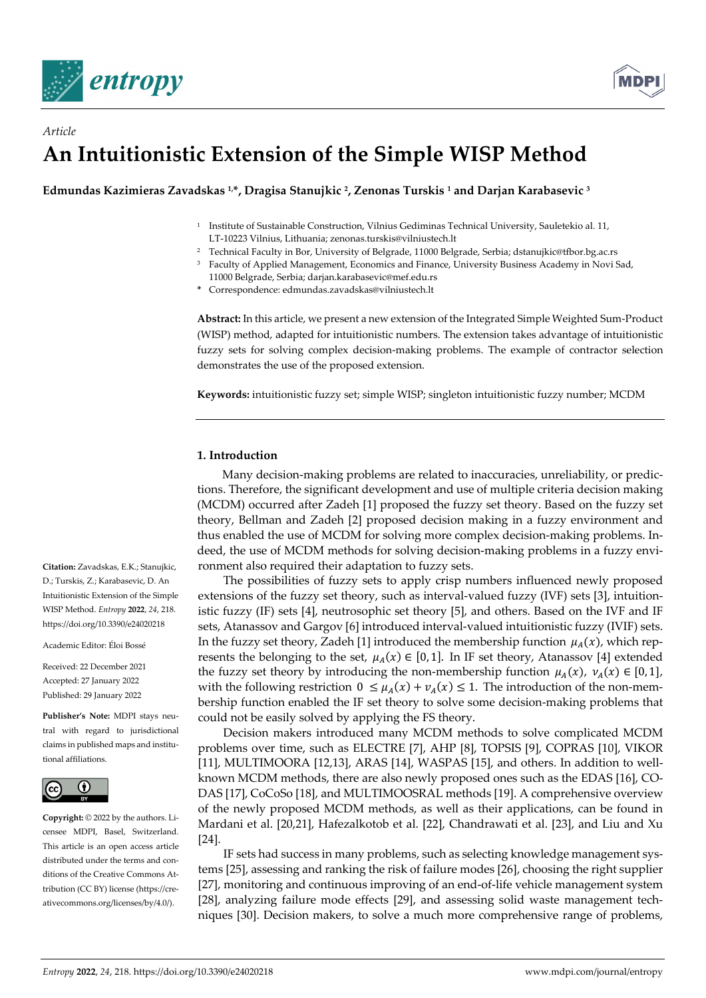

# *Article*  **An Intuitionistic Extension of the Simple WISP Method**

**Edmundas Kazimieras Zavadskas 1,\*, Dragisa Stanujkic 2, Zenonas Turskis 1 and Darjan Karabasevic 3**

- 1 Institute of Sustainable Construction, Vilnius Gediminas Technical University, Sauletekio al. 11, LT-10223 Vilnius, Lithuania; zenonas.turskis@vilniustech.lt
- 2 Technical Faculty in Bor, University of Belgrade, 11000 Belgrade, Serbia; dstanujkic@tfbor.bg.ac.rs
- <sup>3</sup> Faculty of Applied Management, Economics and Finance, University Business Academy in Novi Sad, 11000 Belgrade, Serbia; darjan.karabasevic@mef.edu.rs
- **\*** Correspondence: edmundas.zavadskas@vilniustech.lt

**Abstract:** In this article, we present a new extension of the Integrated Simple Weighted Sum-Product (WISP) method, adapted for intuitionistic numbers. The extension takes advantage of intuitionistic fuzzy sets for solving complex decision-making problems. The example of contractor selection demonstrates the use of the proposed extension.

**Keywords:** intuitionistic fuzzy set; simple WISP; singleton intuitionistic fuzzy number; MCDM

# **1. Introduction**

Many decision-making problems are related to inaccuracies, unreliability, or predictions. Therefore, the significant development and use of multiple criteria decision making (MCDM) occurred after Zadeh [1] proposed the fuzzy set theory. Based on the fuzzy set theory, Bellman and Zadeh [2] proposed decision making in a fuzzy environment and thus enabled the use of MCDM for solving more complex decision-making problems. Indeed, the use of MCDM methods for solving decision-making problems in a fuzzy environment also required their adaptation to fuzzy sets.

The possibilities of fuzzy sets to apply crisp numbers influenced newly proposed extensions of the fuzzy set theory, such as interval-valued fuzzy (IVF) sets [3], intuitionistic fuzzy (IF) sets [4], neutrosophic set theory [5], and others. Based on the IVF and IF sets, Atanassov and Gargov [6] introduced interval-valued intuitionistic fuzzy (IVIF) sets. In the fuzzy set theory, Zadeh [1] introduced the membership function  $\mu_A(x)$ , which represents the belonging to the set,  $\mu_A(x) \in [0, 1]$ . In IF set theory, Atanassov [4] extended the fuzzy set theory by introducing the non-membership function  $\mu_A(x)$ ,  $\nu_A(x) \in [0, 1]$ , with the following restriction  $0 \leq \mu_A(x) + \nu_A(x) \leq 1$ . The introduction of the non-membership function enabled the IF set theory to solve some decision-making problems that could not be easily solved by applying the FS theory.

Decision makers introduced many MCDM methods to solve complicated MCDM problems over time, such as ELECTRE [7], AHP [8], TOPSIS [9], COPRAS [10], VIKOR [11], MULTIMOORA [12,13], ARAS [14], WASPAS [15], and others. In addition to wellknown MCDM methods, there are also newly proposed ones such as the EDAS [16], CO-DAS [17], CoCoSo [18], and MULTIMOOSRAL methods [19]. A comprehensive overview of the newly proposed MCDM methods, as well as their applications, can be found in Mardani et al. [20,21], Hafezalkotob et al. [22], Chandrawati et al. [23], and Liu and Xu [24].

IF sets had success in many problems, such as selecting knowledge management systems [25], assessing and ranking the risk of failure modes [26], choosing the right supplier [27], monitoring and continuous improving of an end-of-life vehicle management system [28], analyzing failure mode effects [29], and assessing solid waste management techniques [30]. Decision makers, to solve a much more comprehensive range of problems,

**Citation:** Zavadskas, E.K.; Stanujkic, D.; Turskis, Z.; Karabasevic, D. An Intuitionistic Extension of the Simple WISP Method. *Entropy* **2022**, *24*, 218. https://doi.org/10.3390/e24020218

Academic Editor: Éloi Bossé

Received: 22 December 2021 Accepted: 27 January 2022 Published: 29 January 2022

**Publisher's Note:** MDPI stays neutral with regard to jurisdictional claims in published maps and institutional affiliations.



**Copyright:** © 2022 by the authors. Licensee MDPI, Basel, Switzerland. This article is an open access article distributed under the terms and conditions of the Creative Commons Attribution (CC BY) license (https://creativecommons.org/licenses/by/4.0/).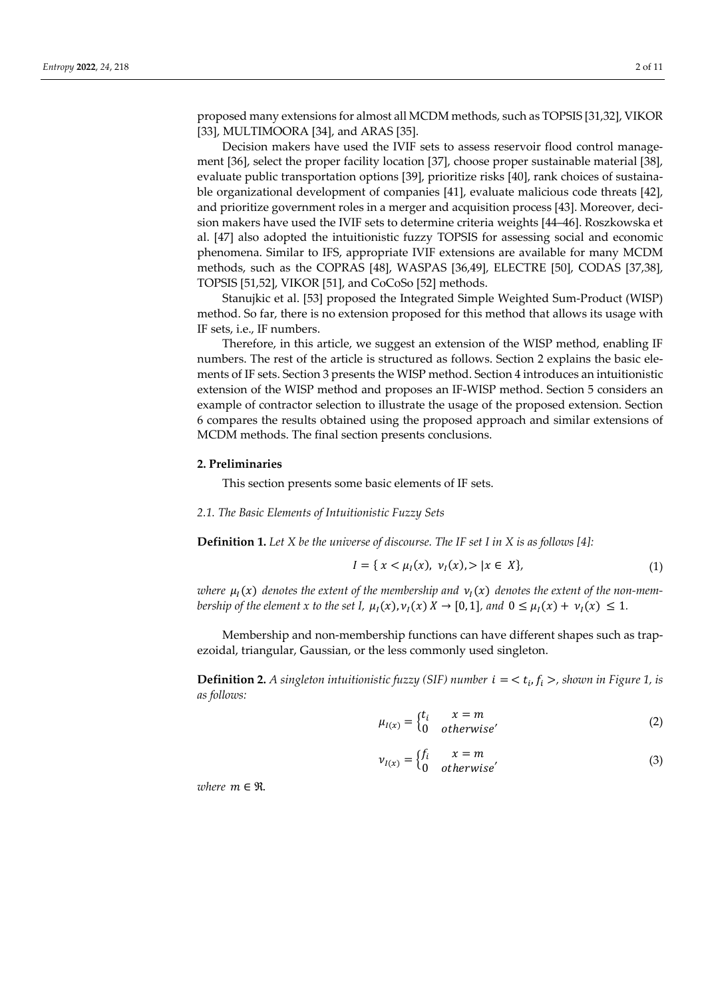proposed many extensions for almost all MCDM methods, such as TOPSIS [31,32], VIKOR [33], MULTIMOORA [34], and ARAS [35].

Decision makers have used the IVIF sets to assess reservoir flood control management [36], select the proper facility location [37], choose proper sustainable material [38], evaluate public transportation options [39], prioritize risks [40], rank choices of sustainable organizational development of companies [41], evaluate malicious code threats [42], and prioritize government roles in a merger and acquisition process [43]. Moreover, decision makers have used the IVIF sets to determine criteria weights [44–46]. Roszkowska et al. [47] also adopted the intuitionistic fuzzy TOPSIS for assessing social and economic phenomena. Similar to IFS, appropriate IVIF extensions are available for many MCDM methods, such as the COPRAS [48], WASPAS [36,49], ELECTRE [50], CODAS [37,38], TOPSIS [51,52], VIKOR [51], and CoCoSo [52] methods.

Stanujkic et al. [53] proposed the Integrated Simple Weighted Sum-Product (WISP) method. So far, there is no extension proposed for this method that allows its usage with IF sets, i.e., IF numbers.

Therefore, in this article, we suggest an extension of the WISP method, enabling IF numbers. The rest of the article is structured as follows. Section 2 explains the basic elements of IF sets. Section 3 presents the WISP method. Section 4 introduces an intuitionistic extension of the WISP method and proposes an IF-WISP method. Section 5 considers an example of contractor selection to illustrate the usage of the proposed extension. Section 6 compares the results obtained using the proposed approach and similar extensions of MCDM methods. The final section presents conclusions.

## **2. Preliminaries**

This section presents some basic elements of IF sets.

# *2.1. The Basic Elements of Intuitionistic Fuzzy Sets*

**Definition 1.** *Let X be the universe of discourse. The IF set I in X is as follows [4]:* 

$$
I = \{ x < \mu_I(x), \ \nu_I(x) > | x \in X \},\tag{1}
$$

where  $\mu_1(x)$  denotes the extent of the membership and  $\nu_1(x)$  denotes the extent of the non-mem*bership of the element x to the set I,*  $\mu_I(x)$ ,  $\nu_I(x)$   $X \to [0, 1]$ *, and*  $0 \leq \mu_I(x) + \nu_I(x) \leq 1$ *.* 

Membership and non-membership functions can have different shapes such as trapezoidal, triangular, Gaussian, or the less commonly used singleton.

**Definition 2.** *A singleton intuitionistic fuzzy (SIF) number*  $i = \langle t_i, f_i \rangle$ , shown in Figure 1, is *as follows:* 

$$
\mu_{I(x)} = \begin{cases} t_i & x = m \\ 0 & otherwise' \end{cases}
$$
 (2)

$$
\nu_{I(x)} = \begin{cases} f_i & x = m \\ 0 & otherwise' \end{cases}
$$
 (3)

*where*  $m \in \mathcal{R}$ .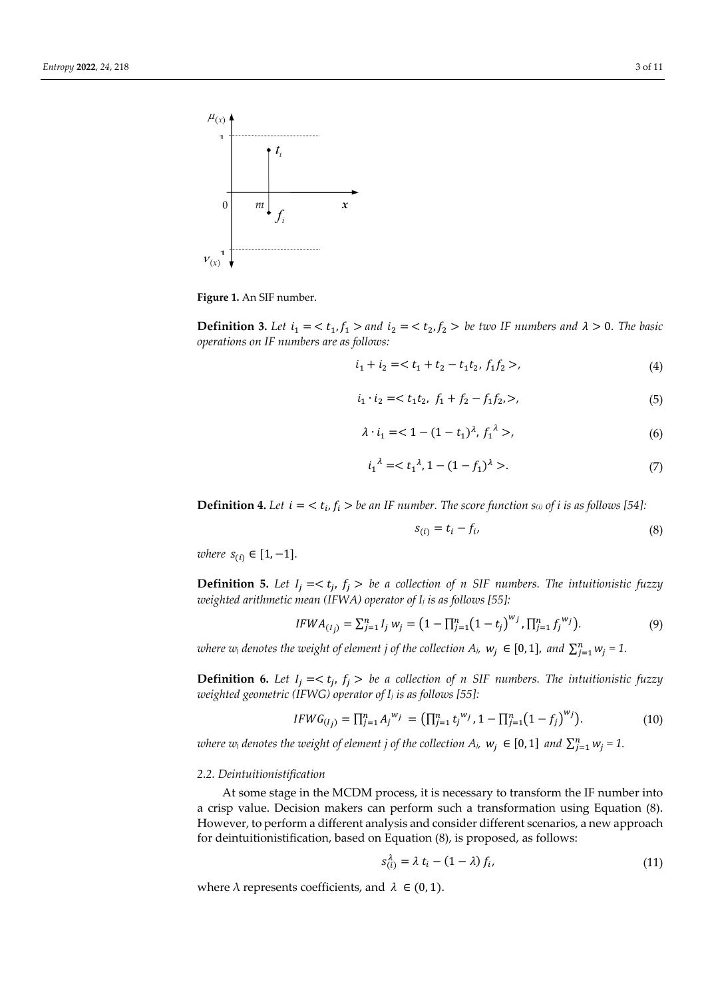

**Figure 1.** An SIF number.

**Definition 3.** Let  $i_1 = \langle t_1, f_1 \rangle$  and  $i_2 = \langle t_2, f_2 \rangle$  be two IF numbers and  $\lambda > 0$ . The basic *operations on IF numbers are as follows:* 

$$
i_1 + i_2 = , \tag{4}
$$

$$
i_1 \cdot i_2 =  \tag{5}
$$

$$
\lambda \cdot i_1 = 1 - (1 - t_1)^{\lambda}, \ f_1^{\lambda} >,
$$
\n(6)

$$
i_1^{\lambda} = < t_1^{\lambda}, 1 - (1 - f_1)^{\lambda} >. \tag{7}
$$

**Definition 4.** Let  $i = \langle t_i, f_i \rangle$  be an IF number. The score function  $s_{(i)}$  of i is as follows [54]:

$$
s_{(i)} = t_i - f_i,\tag{8}
$$

*where*  $s_{(i)} \in [1, -1]$ *.* 

**Definition 5.** Let  $I_i = \langle t_i, f_i \rangle$  be a collection of n SIF numbers. The intuitionistic fuzzy *weighted arithmetic mean (IFWA) operator of Ij is as follows [55]:* 

$$
IFWA_{(I_j)} = \sum_{j=1}^{n} I_j w_j = (1 - \prod_{j=1}^{n} (1 - t_j)^{w_j}, \prod_{j=1}^{n} f_j^{w_j}).
$$
\n(9)

*where w<sub>i</sub>* denotes the weight of element j of the collection  $A_j$ ,  $w_j \in [0, 1]$ , and  $\sum_{j=1}^n w_j = 1$ .

**Definition 6.** Let  $I_j = \langle t_j, f_j \rangle$  be a collection of n SIF numbers. The intuitionistic fuzzy *weighted geometric (IFWG) operator of Ij is as follows [55]:* 

$$
IFWG_{(I_j)} = \prod_{j=1}^n A_j^{w_j} = (\prod_{j=1}^n t_j^{w_j}, 1 - \prod_{j=1}^n (1 - f_j)^{w_j}).
$$
\n(10)

*where w<sub>i</sub>* denotes the weight of element j of the collection  $A_j$ ,  $w_j \in [0,1]$  and  $\sum_{j=1}^n w_j = 1$ .

#### *2.2. Deintuitionistification*

At some stage in the MCDM process, it is necessary to transform the IF number into a crisp value. Decision makers can perform such a transformation using Equation (8). However, to perform a different analysis and consider different scenarios, a new approach for deintuitionistification, based on Equation (8), is proposed, as follows:

$$
s_{(i)}^{\lambda} = \lambda t_i - (1 - \lambda) f_i, \qquad (11)
$$

where  $\lambda$  represents coefficients, and  $\lambda \in (0, 1)$ .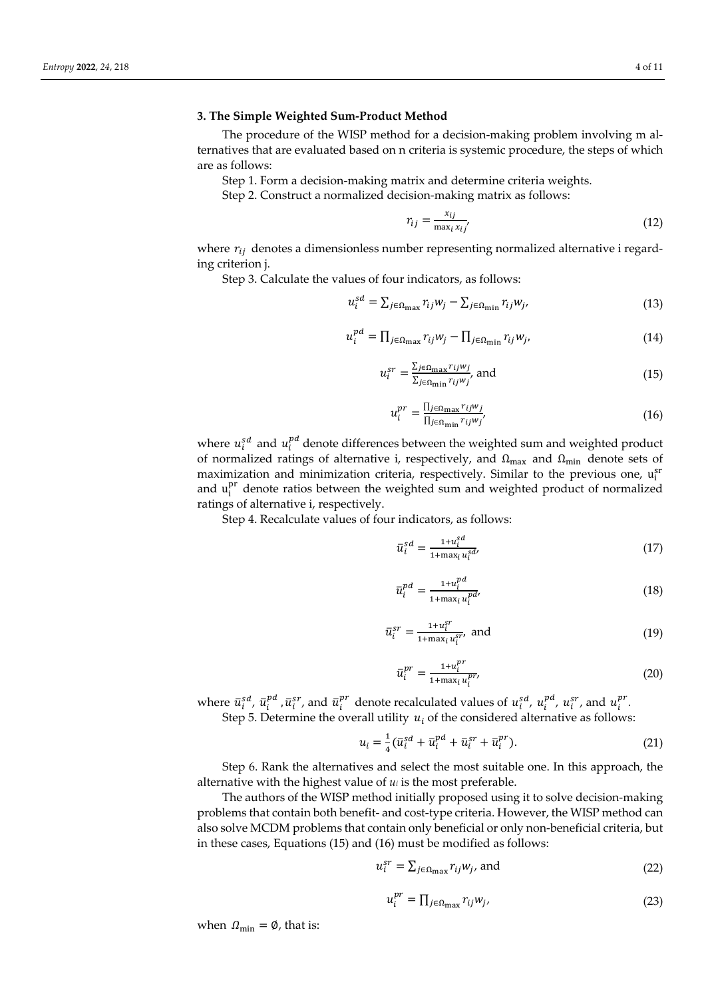## **3. The Simple Weighted Sum-Product Method**

The procedure of the WISP method for a decision-making problem involving m alternatives that are evaluated based on n criteria is systemic procedure, the steps of which are as follows:

Step 1. Form a decision-making matrix and determine criteria weights.

Step 2. Construct a normalized decision-making matrix as follows:

$$
r_{ij} = \frac{x_{ij}}{\max_i x_{ij}}\tag{12}
$$

where  $r_{ij}$  denotes a dimensionless number representing normalized alternative i regarding criterion j.

Step 3. Calculate the values of four indicators, as follows:

$$
u_i^{sd} = \sum_{j \in \Omega_{\text{max}}} r_{ij} w_j - \sum_{j \in \Omega_{\text{min}}} r_{ij} w_j,
$$
\n(13)

$$
u_i^{pd} = \prod_{j \in \Omega_{\text{max}}} r_{ij} w_j - \prod_{j \in \Omega_{\text{min}}} r_{ij} w_j,
$$
\n(14)

$$
u_i^{sr} = \frac{\sum_{j \in \Omega_{\text{max}} r_{ij} w_j}}{\sum_{j \in \Omega_{\text{min}} r_{ij} w_j}} \text{ and } \tag{15}
$$

$$
u_i^{pr} = \frac{\Pi_{j \in \Omega_{\text{max}} r_{ij} w_j}}{\Pi_{j \in \Omega_{\text{min}} r_{ij} w_j'}}\tag{16}
$$

where  $u_i^{sd}$  and  $u_i^{pd}$  denote differences between the weighted sum and weighted product of normalized ratings of alternative i, respectively, and  $\Omega_{\text{max}}$  and  $\Omega_{\text{min}}$  denote sets of maximization and minimization criteria, respectively. Similar to the previous one, ust and  $u_i^{pr}$  denote ratios between the weighted sum and weighted product of normalized ratings of alternative i, respectively.

Step 4. Recalculate values of four indicators, as follows:

$$
\bar{u}_i^{sd} = \frac{1 + u_i^{sd}}{1 + \max_i u_i^{sd}}\tag{17}
$$

$$
\overline{u}_i^{pd} = \frac{1 + u_i^{pd}}{1 + \max_i u_i^{pd}}
$$
\n<sup>(18)</sup>

$$
\overline{u}_i^{sr} = \frac{1 + u_i^{sr}}{1 + \max_i u_i^{sr}}, \text{ and} \tag{19}
$$

$$
\bar{u}_i^{pr} = \frac{1 + u_i^{pr}}{1 + \max_i u_i^{pr}}\tag{20}
$$

where  $\bar{u}_i^{sd}$ ,  $\bar{u}_i^{pd}$ ,  $\bar{u}_i^{sr}$ , and  $\bar{u}_i^{pr}$  denote recalculated values of  $u_i^{sd}$ ,  $u_i^{pd}$ ,  $u_i^{sr}$ , and  $u_i^{pr}$ .

Step 5. Determine the overall utility  $u_i$  of the considered alternative as follows:

$$
u_i = \frac{1}{4} (\bar{u}_i^{sd} + \bar{u}_i^{pd} + \bar{u}_i^{sr} + \bar{u}_i^{pr}).
$$
 (21)

Step 6. Rank the alternatives and select the most suitable one. In this approach, the alternative with the highest value of *ui* is the most preferable.

The authors of the WISP method initially proposed using it to solve decision-making problems that contain both benefit- and cost-type criteria. However, the WISP method can also solve MCDM problems that contain only beneficial or only non-beneficial criteria, but in these cases, Equations (15) and (16) must be modified as follows:

$$
u_i^{sr} = \sum_{j \in \Omega_{\text{max}}} r_{ij} w_j, \text{ and}
$$
 (22)

$$
u_i^{pr} = \prod_{j \in \Omega_{\text{max}}} r_{ij} w_j, \tag{23}
$$

when  $\Omega_{\text{min}} = \emptyset$ , that is: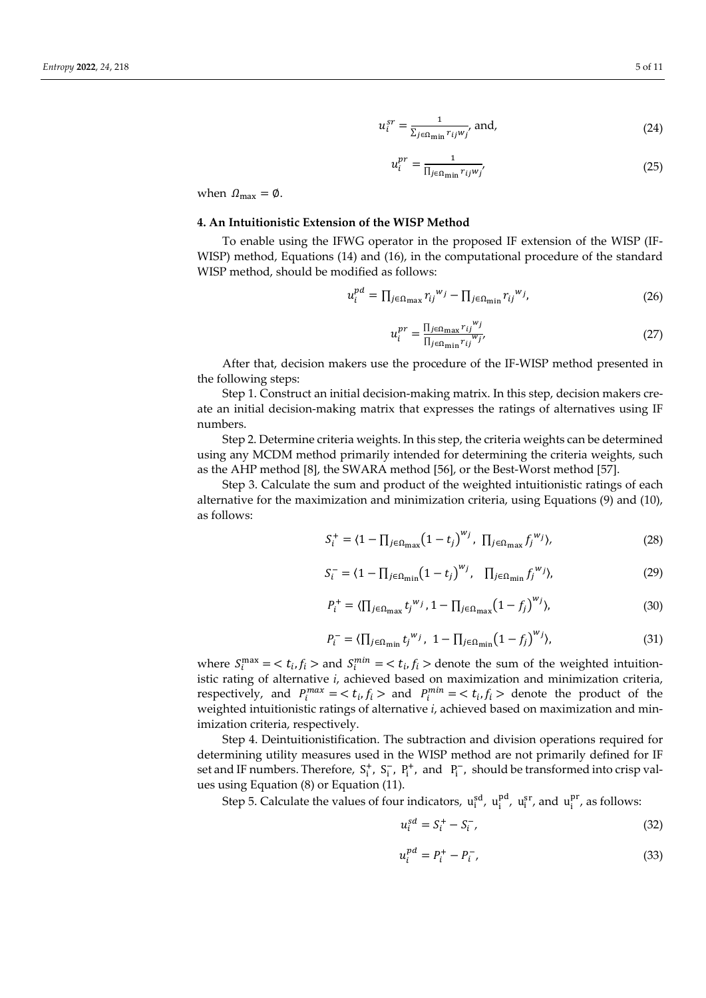$$
u_i^{sr} = \frac{1}{\sum_{j \in \Omega_{\min} r_{ij} w_j}} \text{ and,}
$$
 (24)

$$
u_i^{pr} = \frac{1}{\prod_{j \in \Omega_{\text{min}} r_{ij} w_j'}}\tag{25}
$$

when  $\Omega_{\text{max}} = \emptyset$ .

#### **4. An Intuitionistic Extension of the WISP Method**

To enable using the IFWG operator in the proposed IF extension of the WISP (IF-WISP) method, Equations (14) and (16), in the computational procedure of the standard WISP method, should be modified as follows:

$$
u_i^{pd} = \prod_{j \in \Omega_{\text{max}}} r_{ij}^{w_j} - \prod_{j \in \Omega_{\text{min}}} r_{ij}^{w_j},\tag{26}
$$

$$
u_i^{pr} = \frac{\Pi_{j \in \Omega_{\text{max}} r_{ij}^{w_j}}}{\Pi_{j \in \Omega_{\text{min}} r_{ij}^{w_j'}}}
$$
(27)

After that, decision makers use the procedure of the IF-WISP method presented in the following steps:

Step 1. Construct an initial decision-making matrix. In this step, decision makers create an initial decision-making matrix that expresses the ratings of alternatives using IF numbers.

Step 2. Determine criteria weights. In this step, the criteria weights can be determined using any MCDM method primarily intended for determining the criteria weights, such as the AHP method [8], the SWARA method [56], or the Best-Worst method [57].

Step 3. Calculate the sum and product of the weighted intuitionistic ratings of each alternative for the maximization and minimization criteria, using Equations (9) and (10), as follows:

$$
S_i^+ = \langle 1 - \prod_{j \in \Omega_{\text{max}}} \left( 1 - t_j \right)^{w_j}, \, \, \prod_{j \in \Omega_{\text{max}}} f_j^{w_j} \rangle,\tag{28}
$$

$$
S_i^- = \langle 1 - \prod_{j \in \Omega_{\text{min}}} (1 - t_j)^{w_j}, \quad \prod_{j \in \Omega_{\text{min}}} f_j^{w_j} \rangle, \tag{29}
$$

$$
P_i^+ = \langle \prod_{j \in \Omega_{\text{max}}} t_j^{w_j}, 1 - \prod_{j \in \Omega_{\text{max}}} (1 - f_j)^{w_j} \rangle, \tag{30}
$$

$$
P_i^- = \langle \prod_{j \in \Omega_{\min}} t_j^{w_j}, \ 1 - \prod_{j \in \Omega_{\min}} (1 - f_j)^{w_j} \rangle, \tag{31}
$$

where  $S_i^{\text{max}} = \langle t_i, f_i \rangle$  and  $S_i^{\text{min}} = \langle t_i, f_i \rangle$  denote the sum of the weighted intuitionistic rating of alternative *i*, achieved based on maximization and minimization criteria, respectively, and  $P_i^{max} = \langle t_i, f_i \rangle$  and  $P_i^{min} = \langle t_i, f_i \rangle$  denote the product of the weighted intuitionistic ratings of alternative *i*, achieved based on maximization and minimization criteria, respectively.

Step 4. Deintuitionistification. The subtraction and division operations required for determining utility measures used in the WISP method are not primarily defined for IF set and IF numbers. Therefore,  $S_i^+$ ,  $S_i^-$ ,  $P_i^+$ , and  $P_i^-$ , should be transformed into crisp values using Equation (8) or Equation (11).

Step 5. Calculate the values of four indicators,  $u_i^{sd}$ ,  $u_i^{pd}$ ,  $u_i^{sr}$ , and  $u_i^{pr}$ , as follows:

$$
u_i^{sd} = S_i^+ - S_i^-, \tag{32}
$$

$$
u_i^{pd} = P_i^+ - P_i^-, \tag{33}
$$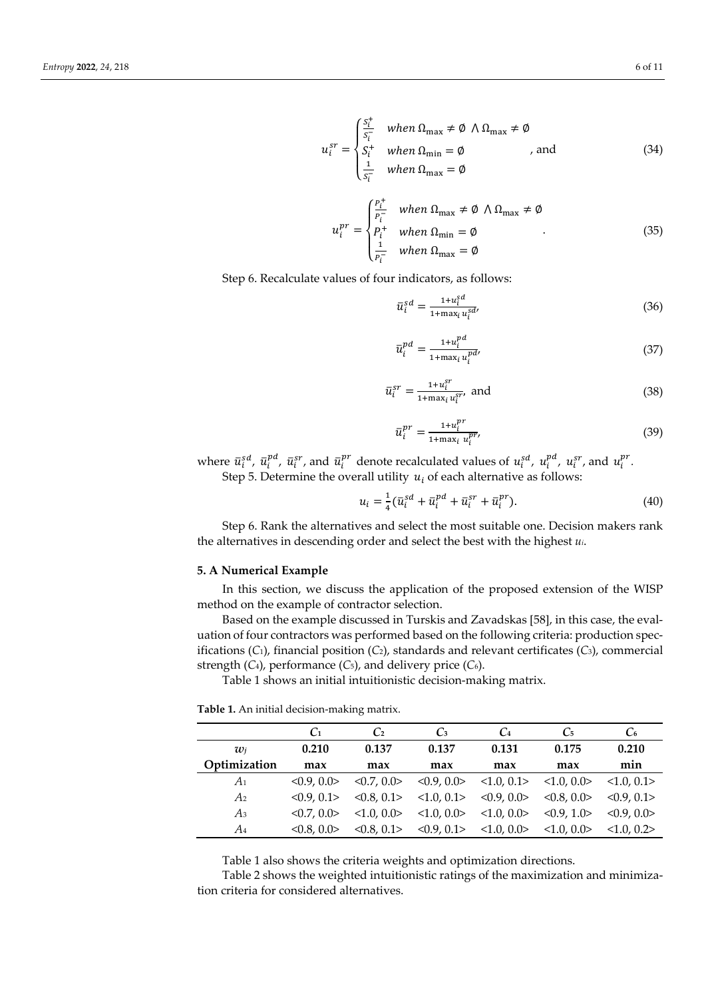$$
u_i^{sr} = \begin{cases} \frac{s_i^+}{s_i} & when \ \Omega_{\text{max}} \neq \emptyset \ \wedge \Omega_{\text{max}} \neq \emptyset \\ S_i^+ & when \ \Omega_{\text{min}} = \emptyset \\ \frac{1}{s_i^-} & when \ \Omega_{\text{max}} = \emptyset \end{cases}
$$
, and (34)

$$
u_i^{pr} = \begin{cases} \frac{P_i^+}{P_i^-} & when \ \Omega_{\text{max}} \neq \emptyset \ \wedge \Omega_{\text{max}} \neq \emptyset \\ P_i^+ & when \ \Omega_{\text{min}} = \emptyset \\ \frac{1}{P_i^-} & when \ \Omega_{\text{max}} = \emptyset \end{cases} \tag{35}
$$

Step 6. Recalculate values of four indicators, as follows:

$$
\bar{u}_i^{sd} = \frac{1 + u_i^{sd}}{1 + \max_i u_i^{sd}}\tag{36}
$$

$$
\bar{u}_i^{pd} = \frac{1 + u_i^{pd}}{1 + \max_i u_i^{pd}}
$$
\n
$$
(37)
$$

$$
\bar{u}_i^{sr} = \frac{1 + u_i^{sr}}{1 + \max_i u_i^{sr}}, \text{ and}
$$
\n(38)

$$
\bar{u}_i^{pr} = \frac{1 + u_i^{pr}}{1 + \max_i u_i^{pr}}\tag{39}
$$

where  $\bar{u}_i^{sd}$ ,  $\bar{u}_i^{pd}$ ,  $\bar{u}_i^{sr}$ , and  $\bar{u}_i^{pr}$  denote recalculated values of  $u_i^{sd}$ ,  $u_i^{pd}$ ,  $u_i^{sr}$ , and  $u_i^{pr}$ . Step 5. Determine the overall utility  $u_i$  of each alternative as follows:

$$
u_i = \frac{1}{4} (\bar{u}_i^{sd} + \bar{u}_i^{pd} + \bar{u}_i^{sr} + \bar{u}_i^{pr}).
$$
\n(40)

Step 6. Rank the alternatives and select the most suitable one. Decision makers rank the alternatives in descending order and select the best with the highest *ui*.

## **5. A Numerical Example**

In this section, we discuss the application of the proposed extension of the WISP method on the example of contractor selection.

Based on the example discussed in Turskis and Zavadskas [58], in this case, the evaluation of four contractors was performed based on the following criteria: production specifications (*C*1), financial position (*C*2), standards and relevant certificates (*C*3), commercial strength (*C*4), performance (*C*5), and delivery price (*C*6).

Table 1 shows an initial intuitionistic decision-making matrix.

|              | C <sub>1</sub> | C2         | $\mathbb{C}_3$ | C <sub>4</sub> | $C_5$      | $C_{6}$           |
|--------------|----------------|------------|----------------|----------------|------------|-------------------|
| $w_i$        | 0.210          | 0.137      | 0.137          | 0.131          | 0.175      | 0.210             |
| Optimization | max            | max        | max            | max            | max        | min               |
| $A_1$        | < 0.9.01       | < 0.7, 0.0 | <0.9, 0.0>     | <1.0, 0.1>     | <1.0, 0.0> | <1.0.0.1>         |
| A2           | $< 0.9$ , 0.1> | < 0.8, 0.1 | <1.0, 0.1>     | <0.9, 0.0>     | < 0.8, 0.0 | $< 0.9$ , 0.1>    |
| $A_3$        | $< 0.7.0$ .    | <1.0, 0.0> | <1.0, 0.0>     | <1.0, 0.0>     | < 0.9, 1.0 | $< 0.9$ , 0.0 $>$ |
| A4           | < 0.8, 0.0     | < 0.8, 0.1 | <0.9, 0.1>     | <1.0, 0.0>     | <1.0.0.0>  | <1.0.0.2>         |

Table 1 also shows the criteria weights and optimization directions.

Table 2 shows the weighted intuitionistic ratings of the maximization and minimization criteria for considered alternatives.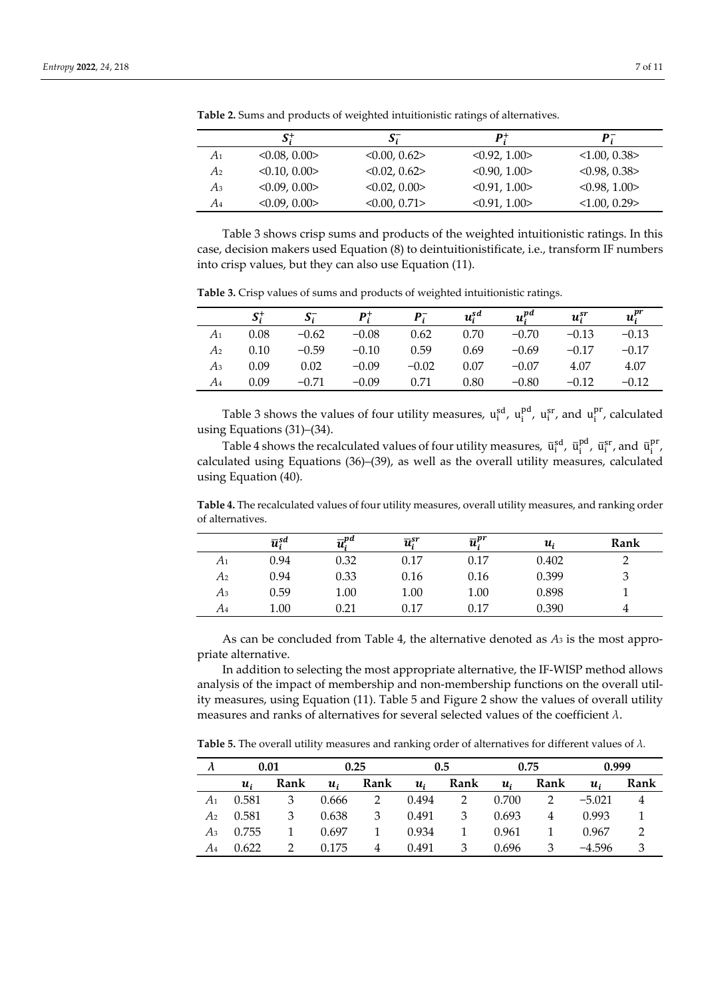|    | $S_i^+$      | $\mathbf{S}_i$ | $\bm{p}$ +   | P:           |
|----|--------------|----------------|--------------|--------------|
| A1 | < 0.08, 0.00 | < 0.00, 0.62   | < 0.92, 1.00 | < 1.00, 0.38 |
| A2 | < 0.10, 0.00 | < 0.02, 0.62   | < 0.90, 1.00 | < 0.98, 0.38 |
| Аз | <0.09, 0.00> | < 0.02, 0.00   | < 0.91, 1.00 | < 0.98, 1.00 |
| A4 | <0.09, 0.00> | < 0.00, 0.71   | < 0.91, 1.00 | <1.00, 0.29> |

**Table 2.** Sums and products of weighted intuitionistic ratings of alternatives.

Table 3 shows crisp sums and products of the weighted intuitionistic ratings. In this case, decision makers used Equation (8) to deintuitionistificate, i.e., transform IF numbers into crisp values, but they can also use Equation (11).

|    | $S_i^+$ | $S_i^-$ | $P_i^+$ |         | $u_i^{sd}$ | $u_i^{pd}$ | $u_i^{sr}$ | $u_i^{pr}$ |
|----|---------|---------|---------|---------|------------|------------|------------|------------|
| A1 | 0.08    | $-0.62$ | $-0.08$ | 0.62    | 0.70       | $-0.70$    | $-0.13$    | $-0.13$    |
| A2 | 0.10    | $-0.59$ | $-0.10$ | 0.59    | 0.69       | $-0.69$    | $-0.17$    | $-0.17$    |
| Аз | 0.09    | 0.02    | $-0.09$ | $-0.02$ | 0.07       | $-0.07$    | 4.07       | 4.07       |
| A4 | 0.09    | $-0.71$ | $-0.09$ | 0.71    | 0.80       | $-0.80$    | $-0.12$    | –0.12      |

**Table 3.** Crisp values of sums and products of weighted intuitionistic ratings.

Table 3 shows the values of four utility measures,  $u_i^{sd}$ ,  $u_i^{pd}$ ,  $u_i^{sr}$ , and  $u_i^{pr}$ , calculated using Equations (31)–(34).

Table 4 shows the recalculated values of four utility measures,  $\bar{u}_i^{sd}$ ,  $\bar{u}_i^{pd}$ ,  $\bar{u}_i^{sr}$ , and  $\bar{u}_i^{pr}$ , calculated using Equations (36)–(39), as well as the overall utility measures, calculated using Equation (40).

**Table 4.** The recalculated values of four utility measures, overall utility measures, and ranking order of alternatives.

|                | $\overline{u}_{i}^{sd}$ | $\overline{u}^{pd}$ | $\overline{u}_{i}^{sr}$ | $\overline{u}_{i}^{pr}$ | $\boldsymbol{u_i}$ | Rank |
|----------------|-------------------------|---------------------|-------------------------|-------------------------|--------------------|------|
| A <sub>1</sub> | 0.94                    | 0.32                | 0.17                    | 0.17                    | 0.402              |      |
| A2             | 0.94                    | 0.33                | 0.16                    | 0.16                    | 0.399              |      |
| Аз             | 0.59                    | $1.00\,$            | 1.00                    | 1.00                    | 0.898              |      |
| A4             | 1.00                    | 0.21                | 0.17                    | 0.17                    | 0.390              |      |

As can be concluded from Table 4, the alternative denoted as *A*3 is the most appropriate alternative.

In addition to selecting the most appropriate alternative, the IF-WISP method allows analysis of the impact of membership and non-membership functions on the overall utility measures, using Equation (11). Table 5 and Figure 2 show the values of overall utility measures and ranks of alternatives for several selected values of the coefficient *λ*.

**Table 5.** The overall utility measures and ranking order of alternatives for different values of *λ.*

|                |                    | 0.01 |                    | 0.25 |                    | 0.5  |                    | 0.75 | 0.999              |      |
|----------------|--------------------|------|--------------------|------|--------------------|------|--------------------|------|--------------------|------|
|                | $\boldsymbol{u}_i$ | Rank | $\boldsymbol{u}_i$ | Rank | $\boldsymbol{u}_i$ | Rank | $\boldsymbol{u}_i$ | Rank | $\boldsymbol{u}_i$ | Rank |
| $A_1$          | 0.581              | 3    | 0.666              |      | 0.494              |      | 0.700              |      | $-5.021$           |      |
| A <sub>2</sub> | 0.581              | 3    | 0.638              | 3    | 0.491              | 3    | 0.693              |      | 0.993              |      |
| Аз             | 0.755              |      | 0.697              |      | 0.934              |      | 0.961              |      | 0.967              |      |
| A4             | 0.622              |      | 0.175              | 4    | 0.491              | 3    | 0.696              | 3    | $-4.596$           |      |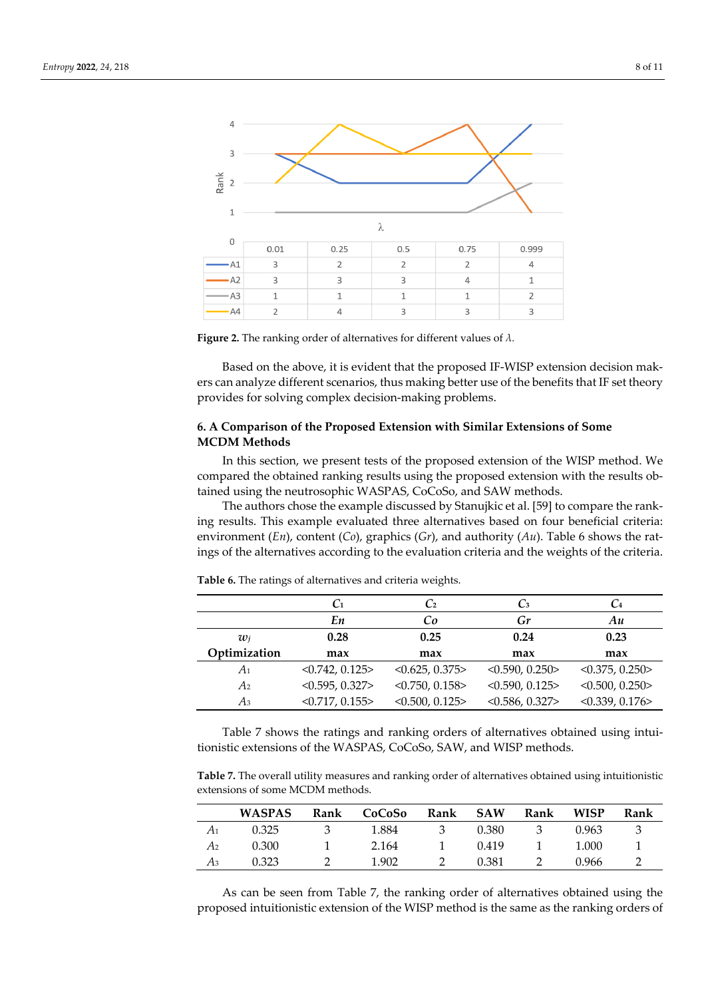

**Figure 2.** The ranking order of alternatives for different values of *λ.* 

Based on the above, it is evident that the proposed IF-WISP extension decision makers can analyze different scenarios, thus making better use of the benefits that IF set theory provides for solving complex decision-making problems.

# **6. A Comparison of the Proposed Extension with Similar Extensions of Some MCDM Methods**

In this section, we present tests of the proposed extension of the WISP method. We compared the obtained ranking results using the proposed extension with the results obtained using the neutrosophic WASPAS, CoCoSo, and SAW methods.

The authors chose the example discussed by Stanujkic et al. [59] to compare the ranking results. This example evaluated three alternatives based on four beneficial criteria: environment (*En*), content (*Co*), graphics (*Gr*), and authority (*Au*). Table 6 shows the ratings of the alternatives according to the evaluation criteria and the weights of the criteria.

|              | C <sub>1</sub> | C <sub>2</sub>       | $C_3$          | $\mathcal{C}_4$ |
|--------------|----------------|----------------------|----------------|-----------------|
|              | En             | Co                   | Gr             | Au              |
| $w_i$        | 0.28           | 0.25                 | 0.24           | 0.23            |
| Optimization | max            | max                  | max            | max             |
| A1           | < 0.742, 0.125 | <0.625, 0.375>       | < 0.590, 0.250 | < 0.375, 0.250  |
| A2           | < 0.595, 0.327 | $<$ 0.750, 0.158 $>$ | < 0.590, 0.125 | < 0.500, 0.250  |
| Аз           | <0.717, 0.155> | < 0.500, 0.125       | < 0.586, 0.327 | < 0.339, 0.176  |

**Table 6.** The ratings of alternatives and criteria weights.

Table 7 shows the ratings and ranking orders of alternatives obtained using intuitionistic extensions of the WASPAS, CoCoSo, SAW, and WISP methods.

**Table 7.** The overall utility measures and ranking order of alternatives obtained using intuitionistic extensions of some MCDM methods.

|    | <b>WASPAS</b> | Rank | CoCoSo | Rank | <b>SAW</b> | Rank | <b>WISP</b> | Rank |
|----|---------------|------|--------|------|------------|------|-------------|------|
| A1 | 0.325         |      | 1.884  | 3    | 0.380      | 3    | 0.963       | -3   |
| A2 | 0.300         |      | 2.164  |      | 0.419      |      | 1.000       |      |
| Аз | 0.323         |      | 1.902  |      | 0.381      |      | 0.966       |      |

As can be seen from Table 7, the ranking order of alternatives obtained using the proposed intuitionistic extension of the WISP method is the same as the ranking orders of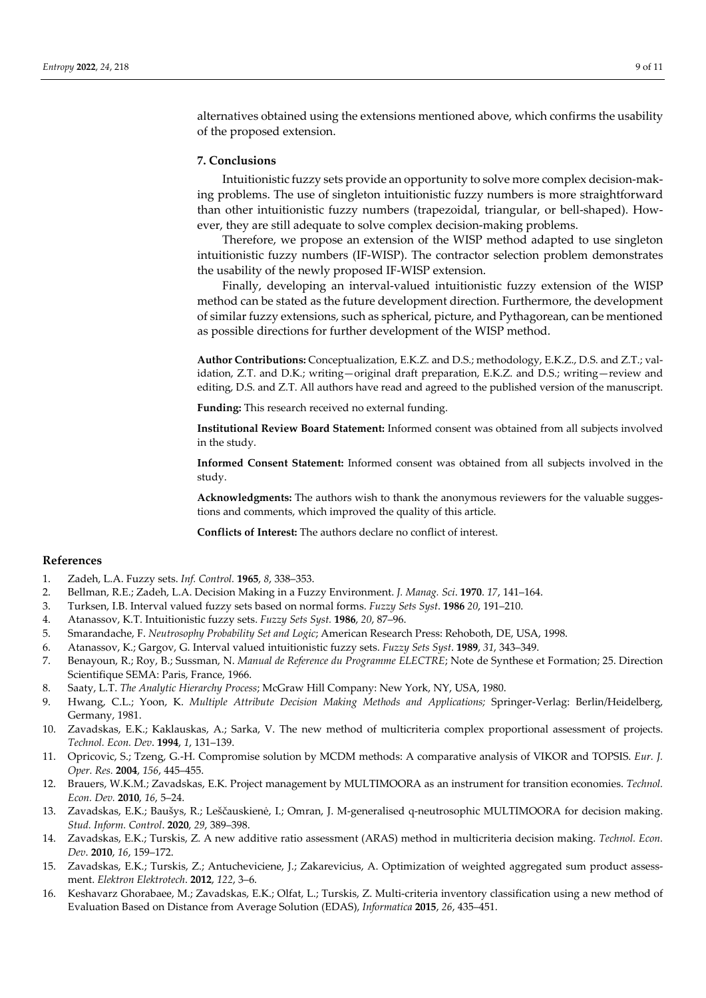alternatives obtained using the extensions mentioned above, which confirms the usability of the proposed extension.

#### **7. Conclusions**

Intuitionistic fuzzy sets provide an opportunity to solve more complex decision-making problems. The use of singleton intuitionistic fuzzy numbers is more straightforward than other intuitionistic fuzzy numbers (trapezoidal, triangular, or bell-shaped). However, they are still adequate to solve complex decision-making problems.

Therefore, we propose an extension of the WISP method adapted to use singleton intuitionistic fuzzy numbers (IF-WISP). The contractor selection problem demonstrates the usability of the newly proposed IF-WISP extension.

Finally, developing an interval-valued intuitionistic fuzzy extension of the WISP method can be stated as the future development direction. Furthermore, the development of similar fuzzy extensions, such as spherical, picture, and Pythagorean, can be mentioned as possible directions for further development of the WISP method.

**Author Contributions:** Conceptualization, E.K.Z. and D.S.; methodology, E.K.Z., D.S. and Z.T.; validation, Z.T. and D.K.; writing—original draft preparation, E.K.Z. and D.S.; writing—review and editing, D.S. and Z.T. All authors have read and agreed to the published version of the manuscript.

**Funding:** This research received no external funding.

**Institutional Review Board Statement:** Informed consent was obtained from all subjects involved in the study.

**Informed Consent Statement:** Informed consent was obtained from all subjects involved in the study.

**Acknowledgments:** The authors wish to thank the anonymous reviewers for the valuable suggestions and comments, which improved the quality of this article.

**Conflicts of Interest:** The authors declare no conflict of interest.

## **References**

- 1. Zadeh, L.A. Fuzzy sets. *Inf. Control.* **1965**, *8*, 338–353.
- 2. Bellman, R.E.; Zadeh, L.A. Decision Making in a Fuzzy Environment. *J. Manag. Sci*. **1970**. *17*, 141–164.
- 3. Turksen, I.B. Interval valued fuzzy sets based on normal forms. *Fuzzy Sets Syst*. **1986** *20*, 191–210.
- 4. Atanassov, K.T. Intuitionistic fuzzy sets. *Fuzzy Sets Syst.* **1986**, *20*, 87–96.
- 5. Smarandache, F. *Neutrosophy Probability Set and Logic*; American Research Press: Rehoboth, DE, USA, 1998.
- 6. Atanassov, K.; Gargov, G. Interval valued intuitionistic fuzzy sets. *Fuzzy Sets Syst*. **1989**, *31*, 343–349.
- 7. Benayoun, R.; Roy, B.; Sussman, N. *Manual de Reference du Programme ELECTRE*; Note de Synthese et Formation; 25. Direction Scientifique SEMA: Paris, France, 1966.
- 8. Saaty, L.T. *The Analytic Hierarchy Process*; McGraw Hill Company: New York, NY, USA, 1980.
- 9. Hwang, C.L.; Yoon, K. *Multiple Attribute Decision Making Methods and Applications;* Springer-Verlag: Berlin/Heidelberg, Germany, 1981.
- 10. Zavadskas, E.K.; Kaklauskas, A.; Sarka, V. The new method of multicriteria complex proportional assessment of projects. *Technol. Econ. Dev*. **1994**, *1*, 131–139.
- 11. Opricovic, S.; Tzeng, G.-H. Compromise solution by MCDM methods: A comparative analysis of VIKOR and TOPSIS. *Eur. J. Oper. Res.* **2004**, *156*, 445–455.
- 12. Brauers, W.K.M.; Zavadskas, E.K. Project management by MULTIMOORA as an instrument for transition economies. *Technol. Econ. Dev.* **2010**, *16*, 5–24.
- 13. Zavadskas, E.K.; Baušys, R.; Leščauskienė, I.; Omran, J. M-generalised q-neutrosophic MULTIMOORA for decision making. *Stud. Inform. Control*. **2020**, *29*, 389–398.
- 14. Zavadskas, E.K.; Turskis, Z. A new additive ratio assessment (ARAS) method in multicriteria decision making. *Technol. Econ. Dev*. **2010**, *16*, 159–172.
- 15. Zavadskas, E.K.; Turskis, Z.; Antucheviciene, J.; Zakarevicius, A. Optimization of weighted aggregated sum product assessment. *Elektron Elektrotech*. **2012**, *122*, 3–6.
- 16. Keshavarz Ghorabaee, M.; Zavadskas, E.K.; Olfat, L.; Turskis, Z. Multi-criteria inventory classification using a new method of Evaluation Based on Distance from Average Solution (EDAS), *Informatica* **2015**, *26*, 435–451.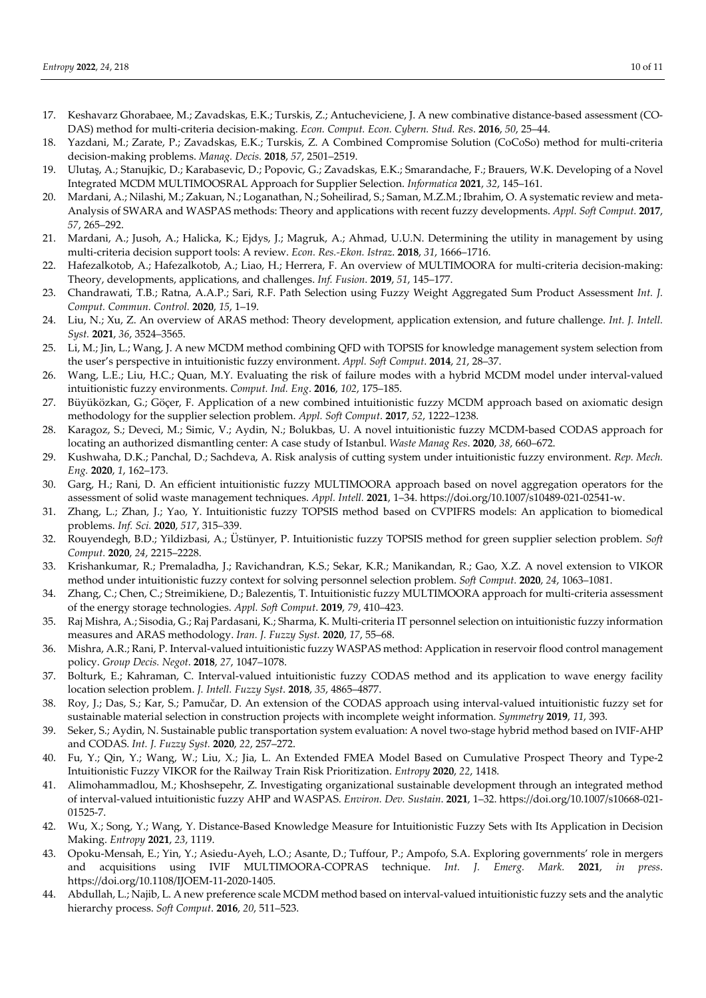- 17. Keshavarz Ghorabaee, M.; Zavadskas, E.K.; Turskis, Z.; Antucheviciene, J. A new combinative distance-based assessment (CO-DAS) method for multi-criteria decision-making. *Econ. Comput. Econ. Cybern. Stud. Res*. **2016**, *50*, 25–44.
- 18. Yazdani, M.; Zarate, P.; Zavadskas, E.K.; Turskis, Z. A Combined Compromise Solution (CoCoSo) method for multi-criteria decision-making problems. *Manag. Decis.* **2018**, *57*, 2501–2519.
- 19. Ulutaş, A.; Stanujkic, D.; Karabasevic, D.; Popovic, G.; Zavadskas, E.K.; Smarandache, F.; Brauers, W.K. Developing of a Novel Integrated MCDM MULTIMOOSRAL Approach for Supplier Selection. *Informatica* **2021**, *32*, 145–161.
- 20. Mardani, A.; Nilashi, M.; Zakuan, N.; Loganathan, N.; Soheilirad, S.; Saman, M.Z.M.; Ibrahim, O. A systematic review and meta-Analysis of SWARA and WASPAS methods: Theory and applications with recent fuzzy developments. *Appl. Soft Comput.* **2017**, *57*, 265–292.
- 21. Mardani, A.; Jusoh, A.; Halicka, K.; Ejdys, J.; Magruk, A.; Ahmad, U.U.N. Determining the utility in management by using multi-criteria decision support tools: A review. *Econ. Res.-Ekon. Istraz*. **2018**, *31*, 1666–1716.
- 22. Hafezalkotob, A.; Hafezalkotob, A.; Liao, H.; Herrera, F. An overview of MULTIMOORA for multi-criteria decision-making: Theory, developments, applications, and challenges. *Inf. Fusion*. **2019**, *51*, 145–177.
- 23. Chandrawati, T.B.; Ratna, A.A.P.; Sari, R.F. Path Selection using Fuzzy Weight Aggregated Sum Product Assessment *Int. J. Comput. Commun. Control.* **2020**, *15*, 1–19.
- 24. Liu, N.; Xu, Z. An overview of ARAS method: Theory development, application extension, and future challenge. *Int. J. Intell. Syst.* **2021**, *36*, 3524–3565.
- 25. Li, M.; Jin, L.; Wang, J. A new MCDM method combining QFD with TOPSIS for knowledge management system selection from the user's perspective in intuitionistic fuzzy environment. *Appl. Soft Comput*. **2014**, *21*, 28–37.
- 26. Wang, L.E.; Liu, H.C.; Quan, M.Y. Evaluating the risk of failure modes with a hybrid MCDM model under interval-valued intuitionistic fuzzy environments. *Comput. Ind. Eng*. **2016**, *102*, 175–185.
- 27. Büyüközkan, G.; Göçer, F. Application of a new combined intuitionistic fuzzy MCDM approach based on axiomatic design methodology for the supplier selection problem. *Appl. Soft Comput*. **2017**, *52*, 1222–1238.
- 28. Karagoz, S.; Deveci, M.; Simic, V.; Aydin, N.; Bolukbas, U. A novel intuitionistic fuzzy MCDM-based CODAS approach for locating an authorized dismantling center: A case study of Istanbul. *Waste Manag Res*. **2020**, *38*, 660–672.
- 29. Kushwaha, D.K.; Panchal, D.; Sachdeva, A. Risk analysis of cutting system under intuitionistic fuzzy environment. *Rep. Mech. Eng.* **2020**, *1*, 162–173.
- 30. Garg, H.; Rani, D. An efficient intuitionistic fuzzy MULTIMOORA approach based on novel aggregation operators for the assessment of solid waste management techniques. *Appl. Intell.* **2021**, 1–34. https://doi.org/10.1007/s10489-021-02541-w.
- 31. Zhang, L.; Zhan, J.; Yao, Y. Intuitionistic fuzzy TOPSIS method based on CVPIFRS models: An application to biomedical problems. *Inf. Sci.* **2020**, *517*, 315–339.
- 32. Rouyendegh, B.D.; Yildizbasi, A.; Üstünyer, P. Intuitionistic fuzzy TOPSIS method for green supplier selection problem. *Soft Comput.* **2020**, *24*, 2215–2228.
- 33. Krishankumar, R.; Premaladha, J.; Ravichandran, K.S.; Sekar, K.R.; Manikandan, R.; Gao, X.Z. A novel extension to VIKOR method under intuitionistic fuzzy context for solving personnel selection problem. *Soft Comput.* **2020**, *24*, 1063–1081.
- 34. Zhang, C.; Chen, C.; Streimikiene, D.; Balezentis, T. Intuitionistic fuzzy MULTIMOORA approach for multi-criteria assessment of the energy storage technologies. *Appl. Soft Comput*. **2019**, *79*, 410–423.
- 35. Raj Mishra, A.; Sisodia, G.; Raj Pardasani, K.; Sharma, K. Multi-criteria IT personnel selection on intuitionistic fuzzy information measures and ARAS methodology. *Iran. J. Fuzzy Syst.* **2020**, *17*, 55–68.
- 36. Mishra, A.R.; Rani, P. Interval-valued intuitionistic fuzzy WASPAS method: Application in reservoir flood control management policy. *Group Decis. Negot*. **2018**, *27*, 1047–1078.
- 37. Bolturk, E.; Kahraman, C. Interval-valued intuitionistic fuzzy CODAS method and its application to wave energy facility location selection problem. *J. Intell. Fuzzy Syst*. **2018**, *35*, 4865–4877.
- 38. Roy, J.; Das, S.; Kar, S.; Pamučar, D. An extension of the CODAS approach using interval-valued intuitionistic fuzzy set for sustainable material selection in construction projects with incomplete weight information. *Symmetry* **2019**, *11*, 393.
- 39. Seker, S.; Aydin, N. Sustainable public transportation system evaluation: A novel two-stage hybrid method based on IVIF-AHP and CODAS. *Int. J. Fuzzy Syst.* **2020**, *22*, 257–272.
- 40. Fu, Y.; Qin, Y.; Wang, W.; Liu, X.; Jia, L. An Extended FMEA Model Based on Cumulative Prospect Theory and Type-2 Intuitionistic Fuzzy VIKOR for the Railway Train Risk Prioritization. *Entropy* **2020**, *22*, 1418.
- 41. Alimohammadlou, M.; Khoshsepehr, Z. Investigating organizational sustainable development through an integrated method of interval-valued intuitionistic fuzzy AHP and WASPAS. *Environ. Dev. Sustain*. **2021**, 1–32. https://doi.org/10.1007/s10668-021- 01525-7.
- 42. Wu, X.; Song, Y.; Wang, Y. Distance-Based Knowledge Measure for Intuitionistic Fuzzy Sets with Its Application in Decision Making. *Entropy* **2021**, *23*, 1119.
- 43. Opoku-Mensah, E.; Yin, Y.; Asiedu-Ayeh, L.O.; Asante, D.; Tuffour, P.; Ampofo, S.A. Exploring governments' role in mergers and acquisitions using IVIF MULTIMOORA-COPRAS technique. *Int. J. Emerg. Mark.* **2021**, *in press*. https://doi.org/10.1108/IJOEM-11-2020-1405.
- 44. Abdullah, L.; Najib, L. A new preference scale MCDM method based on interval-valued intuitionistic fuzzy sets and the analytic hierarchy process. *Soft Comput*. **2016**, *20*, 511–523.